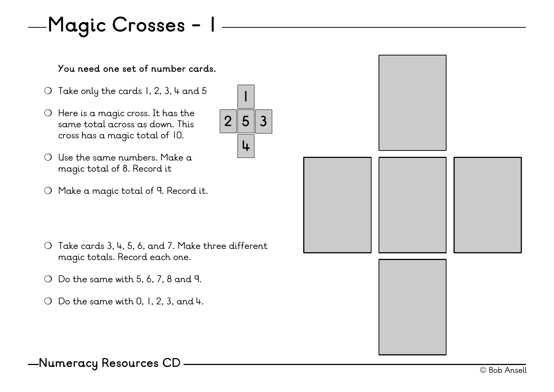# **Magic Crosses - 1**

#### **You need one set of number cards.**

- $\bigcirc$  Take only the cards 1, 2, 3, 4 and 5
- ❍ Here is a magic cross. It has the same total across as down. This cross has a magic total of 10.
- ❍ Use the same numbers. Make a magic total of 8. Record it
- ❍ Make a magic total of 9. Record it.

❍ Take cards 3, 4, 5, 6, and 7. Make three different magic totals. Record each one.

**5**

 $2|5|3$ 

**1**

**4**

- $\bigcirc$  Do the same with 5, 6, 7, 8 and 9.
- $\bigcirc$  Do the same with 0, 1, 2, 3, and 4.

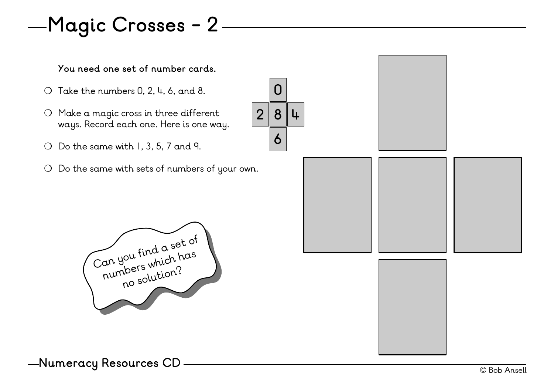### **Magic Crosses - 2**

**You need one set of number cards.**

- $\bigcirc$  Take the numbers 0, 2, 4, 6, and 8.
- ❍ Make a magic cross in three different ways. Record each one. Here is one way.
- ❍ Do the same with 1, 3, 5, 7 and 9.
- ❍ Do the same with sets of numbers of your own.

![](_page_1_Picture_6.jpeg)

![](_page_1_Picture_7.jpeg)

© Bob Ansell **Numeracy Resources CD**